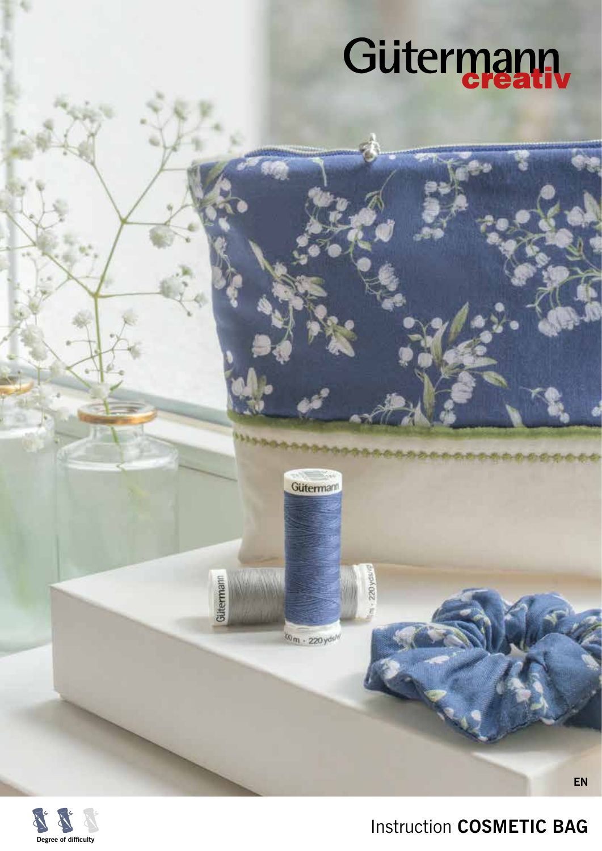

Gütermann

tom - 220 yds M

Gütermann

220 yds



Instruction **COSMETIC BAG** 

**EN**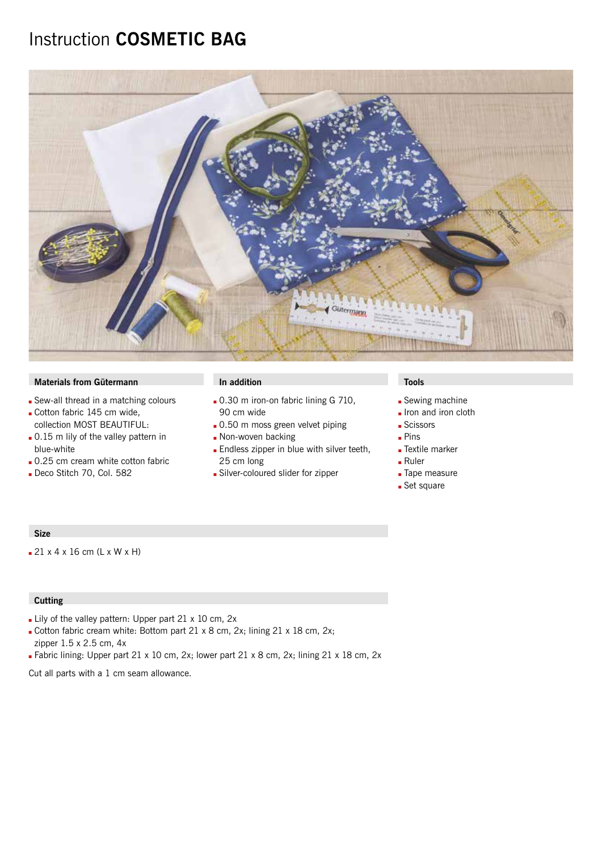## Instruction **COSMETIC BAG**



### **Materials from Gütermann In addition In addition In addition In the Installation In the Installation**

- Sew-all thread in a matching colours
- Gotton fabric 145 cm wide, collection MOST BEAUTIFUL:
- . 0.15 m lily of the valley pattern in blue-white
- 0.25 cm cream white cotton fabric
- Deco Stitch 70, Col. 582

- $\blacksquare$  0.30 m iron-on fabric lining G 710, 90 cm wide
- . 0.50 m moss green velvet piping
- Don-woven backing
- **Endless zipper in blue with silver teeth,** 25 cm long
- Silver-coloured slider for zipper

- **Sewing machine**
- Iron and iron cloth
- **Scissors**
- $Pins$
- **Extile marker**
- $Ruler$
- **Tape measure**
- **Set square**

#### **Size**

 $21 x 4 x 16 cm (L x W x H)$ 

### **Cutting**

- Lily of the valley pattern: Upper part 21  $\times$  10 cm, 2x
- Cotton fabric cream white: Bottom part 21 x 8 cm, 2x; lining 21 x 18 cm, 2x; zipper 1.5 x 2.5 cm, 4x
- Fabric lining: Upper part 21 x 10 cm, 2x; lower part 21 x 8 cm, 2x; lining 21 x 18 cm, 2x

Cut all parts with a 1 cm seam allowance.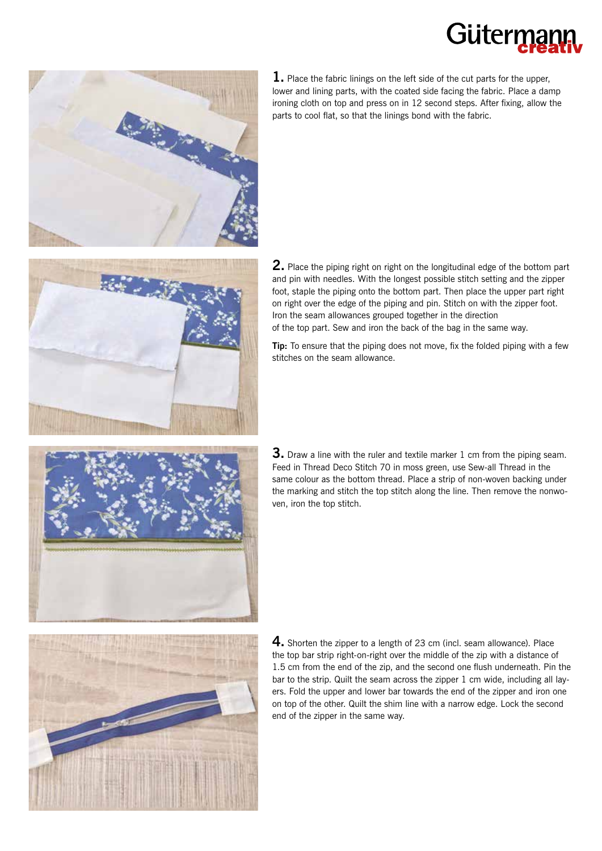# Gütern



**1.** Place the fabric linings on the left side of the cut parts for the upper, lower and lining parts, with the coated side facing the fabric. Place a damp ironing cloth on top and press on in 12 second steps. After fixing, allow the parts to cool flat, so that the linings bond with the fabric.



**2.** Place the piping right on right on the longitudinal edge of the bottom part and pin with needles. With the longest possible stitch setting and the zipper foot, staple the piping onto the bottom part. Then place the upper part right on right over the edge of the piping and pin. Stitch on with the zipper foot. Iron the seam allowances grouped together in the direction of the top part. Sew and iron the back of the bag in the same way.

**Tip:** To ensure that the piping does not move, fix the folded piping with a few stitches on the seam allowance.



**3.** Draw a line with the ruler and textile marker 1 cm from the piping seam. Feed in Thread Deco Stitch 70 in moss green, use Sew-all Thread in the same colour as the bottom thread. Place a strip of non-woven backing under the marking and stitch the top stitch along the line. Then remove the nonwoven, iron the top stitch.



**4.** Shorten the zipper to a length of 23 cm (incl. seam allowance). Place the top bar strip right-on-right over the middle of the zip with a distance of 1.5 cm from the end of the zip, and the second one flush underneath. Pin the bar to the strip. Quilt the seam across the zipper 1 cm wide, including all layers. Fold the upper and lower bar towards the end of the zipper and iron one on top of the other. Quilt the shim line with a narrow edge. Lock the second end of the zipper in the same way.